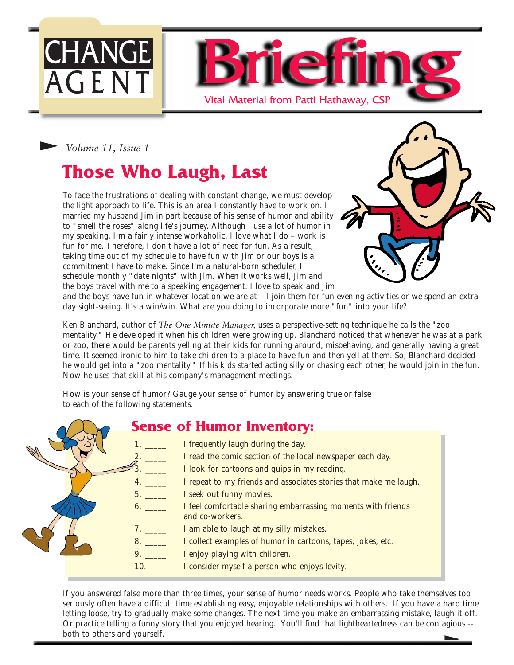

#### *Volume 11, Issue 1*

CHANG

### **Those Who Laugh, Last**

To face the frustrations of dealing with constant change, we must develop the light approach to life. This is an area I constantly have to work on. I married my husband Jim in part because of his sense of humor and ability to "smell the roses" along life's journey. Although I use a lot of humor in my speaking, I'm a fairly intense workaholic. I love what I do – work is fun for me. Therefore, I don't have a lot of need for fun. As a result, taking time out of my schedule to have fun with Jim or our boys is a commitment I have to make. Since I'm a natural-born scheduler, I schedule monthly "date nights" with Jim. When it works well, Jim and the boys travel with me to a speaking engagement. I love to speak and Jim



and the boys have fun in whatever location we are at – I join them for fun evening activities or we spend an extra day sight-seeing. It's a win/win. What are you doing to incorporate more "fun" into your life?

Ken Blanchard, author of *The One Minute Manager,* uses a perspective-setting technique he calls the "zoo mentality." He developed it when his children were growing up. Blanchard noticed that whenever he was at a park or zoo, there would be parents yelling at their kids for running around, misbehaving, and generally having a great time. It seemed ironic to him to take children to a place to have fun and then yell at them. So, Blanchard decided he would get into a "zoo mentality." If his kids started acting silly or chasing each other, he would join in the fun. Now he uses that skill at his company's management meetings.

How is your sense of humor? Gauge your sense of humor by answering true or false to each of the following statements.



▲ If you answered false more than three times, your sense of humor needs works. People who take themselves too seriously often have a difficult time establishing easy, enjoyable relationships with others. If you have a hard time letting loose, try to gradually make some changes. The next time you make an embarrassing mistake, laugh it off. Or practice telling a funny story that you enjoyed hearing. You'll find that lightheartedness can be contagious - both to others and yourself.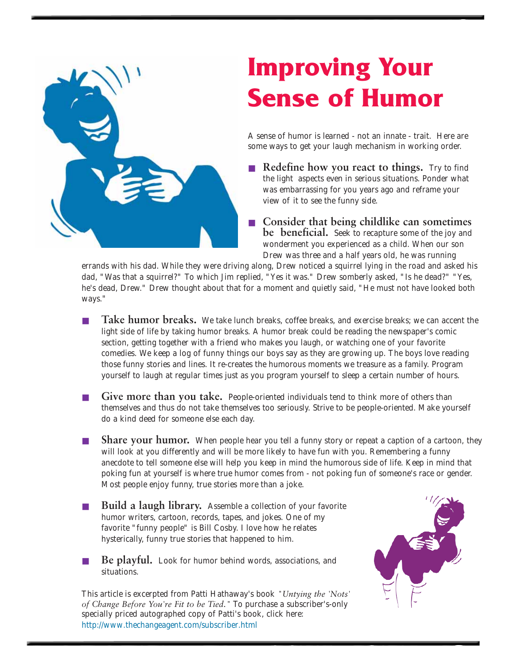

# **Improving Your Sense of Humor**

A sense of humor is learned - not an innate - trait. Here are some ways to get your laugh mechanism in working order.

- **Redefine how you react to things.** Try to find the light aspects even in serious situations. Ponder what was embarrassing for you years ago and reframe your view of it to see the funny side.
- **Consider that being childlike can sometimes be beneficial.** Seek to recapture some of the joy and wonderment you experienced as a child. When our son Drew was three and a half years old, he was running

errands with his dad. While they were driving along, Drew noticed a squirrel lying in the road and asked his dad, "Was that a squirrel?" To which Jim replied, "Yes it was." Drew somberly asked, "Is he dead?" "Yes, he's dead, Drew." Drew thought about that for a moment and quietly said, "He must not have looked both ways."

- **Take humor breaks.** We take lunch breaks, coffee breaks, and exercise breaks; we can accent the light side of life by taking humor breaks. A humor break could be reading the newspaper's comic section, getting together with a friend who makes you laugh, or watching one of your favorite comedies. We keep a log of funny things our boys say as they are growing up. The boys love reading those funny stories and lines. It re-creates the humorous moments we treasure as a family. Program yourself to laugh at regular times just as you program yourself to sleep a certain number of hours.
- **Give more than you take.** People-oriented individuals tend to think more of others than themselves and thus do not take themselves too seriously. Strive to be people-oriented. Make yourself do a kind deed for someone else each day.
- **Share your humor.** When people hear you tell a funny story or repeat a caption of a cartoon, they will look at you differently and will be more likely to have fun with you. Remembering a funny anecdote to tell someone else will help you keep in mind the humorous side of life. Keep in mind that poking fun at yourself is where true humor comes from - not poking fun of someone's race or gender. Most people enjoy funny, true stories more than a joke.
- **Build a laugh library.** Assemble a collection of your favorite humor writers, cartoon, records, tapes, and jokes. One of my favorite "funny people" is Bill Cosby. I love how he relates hysterically, funny true stories that happened to him.
- **Be playful.** Look for humor behind words, associations, and situations.

This article is excerpted from Patti Hathaway's book *"Untying the 'Nots' of Change Before You're Fit to be Tied."* To purchase a subscriber's-only specially priced autographed copy of Patti's book, click here: <http://www.thechangeagent.com/subscriber.html>